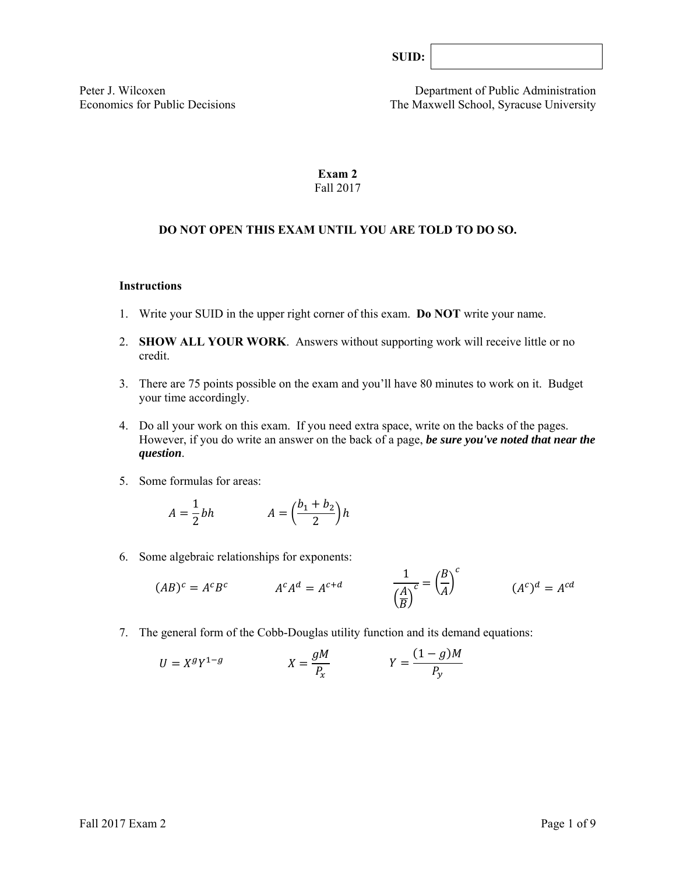Peter J. Wilcoxen<br>
Economics for Public Decisions<br>
The Maxwell School, Syracuse University The Maxwell School, Syracuse University

## **Exam 2**  Fall 2017

## **DO NOT OPEN THIS EXAM UNTIL YOU ARE TOLD TO DO SO.**

### **Instructions**

- 1. Write your SUID in the upper right corner of this exam. **Do NOT** write your name.
- 2. **SHOW ALL YOUR WORK**. Answers without supporting work will receive little or no credit.
- 3. There are 75 points possible on the exam and you'll have 80 minutes to work on it. Budget your time accordingly.
- 4. Do all your work on this exam. If you need extra space, write on the backs of the pages. However, if you do write an answer on the back of a page, *be sure you've noted that near the question*.
- 5. Some formulas for areas:

$$
A = \frac{1}{2}bh \qquad A = \left(\frac{b_1 + b_2}{2}\right)h
$$

6. Some algebraic relationships for exponents:

$$
(AB)^c = A^c B^c \qquad \qquad A^c A^d = A^{c+d} \qquad \qquad \frac{1}{\left(\frac{A}{B}\right)^c} = \left(\frac{B}{A}\right)^c \qquad \qquad (A^c)^d = A^{cd}
$$

7. The general form of the Cobb-Douglas utility function and its demand equations:

$$
U = X^g Y^{1-g} \qquad \qquad X = \frac{gM}{P_x} \qquad \qquad Y = \frac{(1-g)M}{P_y}
$$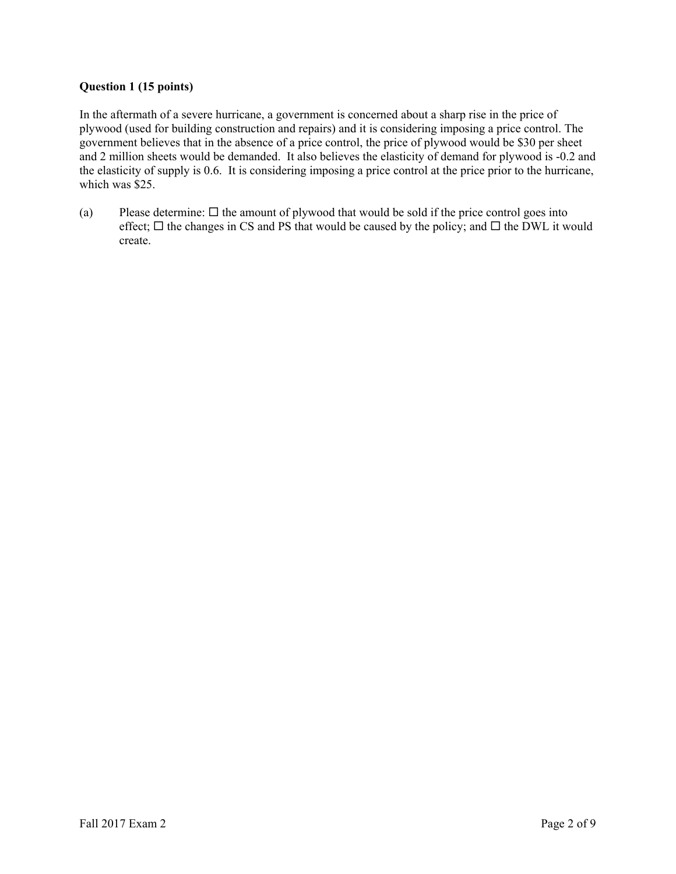## **Question 1 (15 points)**

In the aftermath of a severe hurricane, a government is concerned about a sharp rise in the price of plywood (used for building construction and repairs) and it is considering imposing a price control. The government believes that in the absence of a price control, the price of plywood would be \$30 per sheet and 2 million sheets would be demanded. It also believes the elasticity of demand for plywood is -0.2 and the elasticity of supply is 0.6. It is considering imposing a price control at the price prior to the hurricane, which was \$25.

(a) Please determine:  $\Box$  the amount of plywood that would be sold if the price control goes into effect;  $\Box$  the changes in CS and PS that would be caused by the policy; and  $\Box$  the DWL it would create.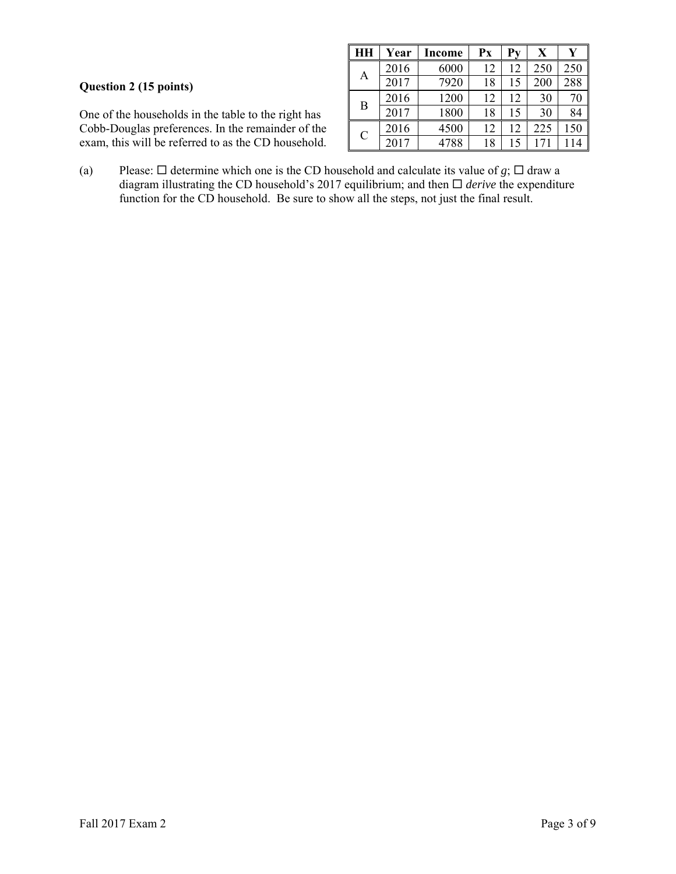# **Question 2 (15 points)**

One of the households in the table to the right has Cobb-Douglas preferences. In the remainder of the exam, this will be referred to as the CD household.

| HН            | Year | Income | Px | Pv | X   | Y   |
|---------------|------|--------|----|----|-----|-----|
|               | 2016 | 6000   | 12 | 12 | 250 | 250 |
| А             | 2017 | 7920   | 18 | 15 | 200 | 288 |
| B             | 2016 | 1200   | 12 | 12 | 30  | 70  |
|               | 2017 | 1800   | 18 | 15 | 30  | 84  |
| $\mathcal{C}$ | 2016 | 4500   | 12 | 12 | 225 | 150 |
|               | 2017 | 4788   | 18 | 15 | 171 | 14  |

(a) Please:  $\Box$  determine which one is the CD household and calculate its value of *g*;  $\Box$  draw a diagram illustrating the CD household's 2017 equilibrium; and then *derive* the expenditure function for the CD household. Be sure to show all the steps, not just the final result.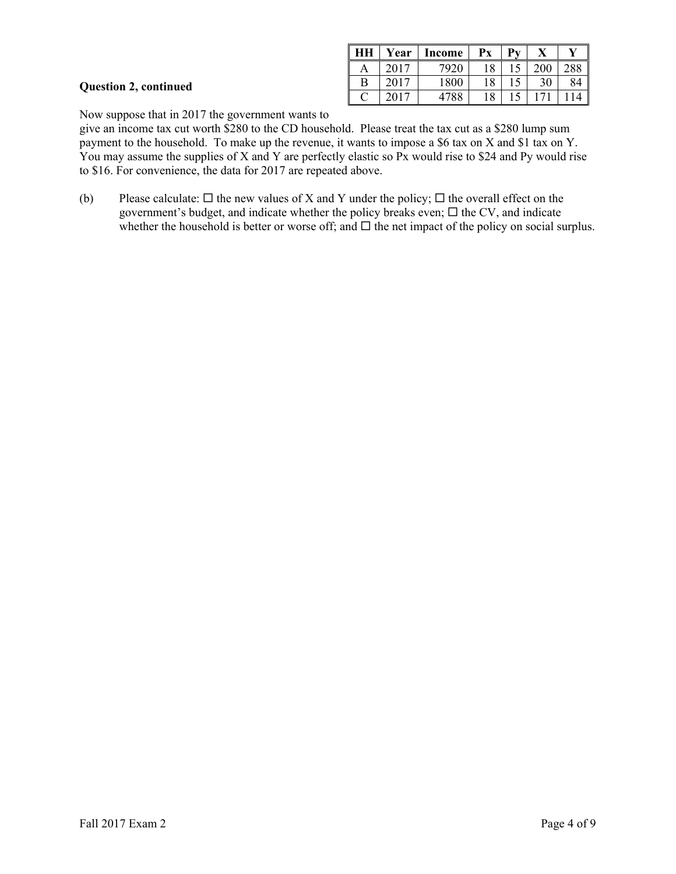|  | <b>Question 2, continued</b> |
|--|------------------------------|
|  |                              |

| HH | Year | Income | Рx | $\mathbf{D}_{\mathbf{V}}$ |     |     |
|----|------|--------|----|---------------------------|-----|-----|
|    | 2017 | 7920   | 18 |                           | 200 | 288 |
| В  | 2017 | 1800   | 18 |                           | 30  | 84  |
|    | 2017 | 4788   | 18 |                           |     |     |

Now suppose that in 2017 the government wants to

give an income tax cut worth \$280 to the CD household. Please treat the tax cut as a \$280 lump sum payment to the household. To make up the revenue, it wants to impose a \$6 tax on X and \$1 tax on Y. You may assume the supplies of X and Y are perfectly elastic so Px would rise to \$24 and Py would rise to \$16. For convenience, the data for 2017 are repeated above.

(b) Please calculate:  $\Box$  the new values of X and Y under the policy;  $\Box$  the overall effect on the government's budget, and indicate whether the policy breaks even;  $\Box$  the CV, and indicate whether the household is better or worse off; and  $\Box$  the net impact of the policy on social surplus.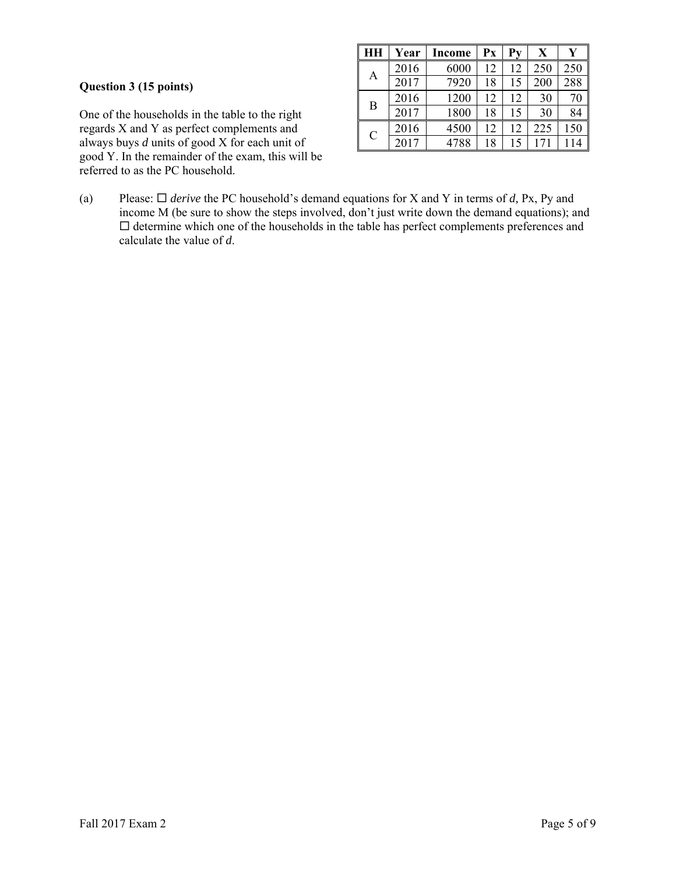## **Question 3 (15 points)**

One of the households in the table to the right regards X and Y as perfect complements and always buys *d* units of good X for each unit of good Y. In the remainder of the exam, this will be referred to as the PC household.

| HН            | Year | Income | Px | Pv | X   | V   |
|---------------|------|--------|----|----|-----|-----|
|               | 2016 | 6000   | 12 | 12 | 250 | 250 |
| Α             | 2017 | 7920   | 18 | 15 | 200 | 288 |
| B             | 2016 | 1200   | 12 | 12 | 30  | 70  |
|               | 2017 | 1800   | 18 | 15 | 30  | 84  |
|               | 2016 | 4500   | 12 | 12 | 225 | 150 |
| $\mathcal{C}$ | 2017 | 4788   | 18 | 15 | 171 | 114 |

(a) Please: *derive* the PC household's demand equations for X and Y in terms of *d,* Px, Py and income M (be sure to show the steps involved, don't just write down the demand equations); and  $\square$  determine which one of the households in the table has perfect complements preferences and calculate the value of *d*.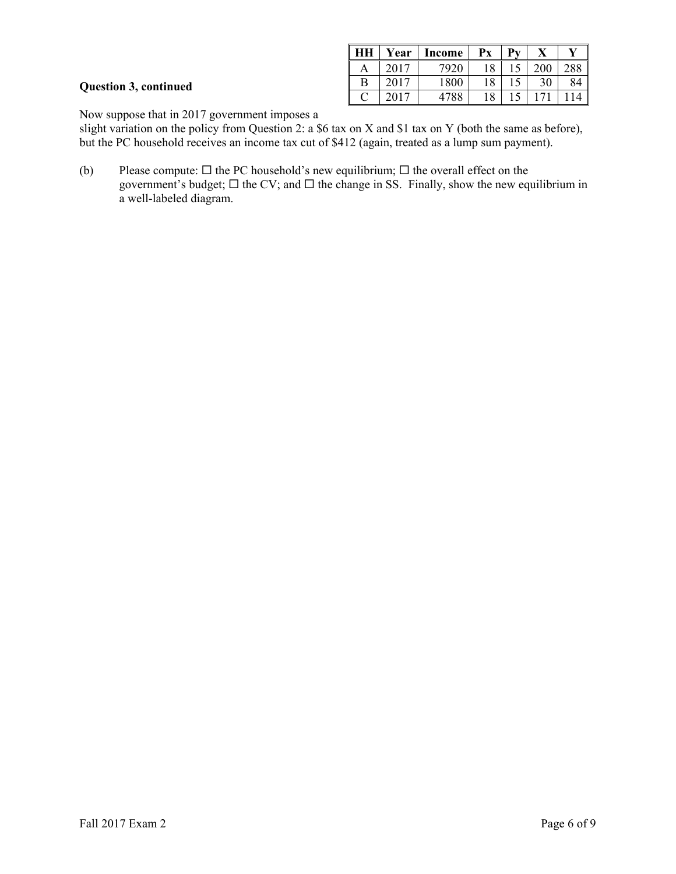|                              | HH | Year | <b>Income</b> | $\mathbf{P} \mathbf{x}$ | $\mathbf{p}_{\mathbf{v}}$ | $\mathbf{v}$<br>л | $\mathbf{v}$    |
|------------------------------|----|------|---------------|-------------------------|---------------------------|-------------------|-----------------|
|                              | А  |      | 7920          | 18                      | $\epsilon$                | 200               | 288             |
| <b>Question 3, continued</b> |    | 2017 | 1800          | 1 O<br>10.              | 15                        | 30                | 84              |
|                              | ⌒  |      | 4788          | 18                      |                           | 71                | 14 <sup>1</sup> |

Now suppose that in 2017 government imposes a

slight variation on the policy from Question 2: a \$6 tax on X and \$1 tax on Y (both the same as before), but the PC household receives an income tax cut of \$412 (again, treated as a lump sum payment).

(b) Please compute:  $\Box$  the PC household's new equilibrium;  $\Box$  the overall effect on the government's budget;  $\Box$  the CV; and  $\Box$  the change in SS. Finally, show the new equilibrium in a well-labeled diagram.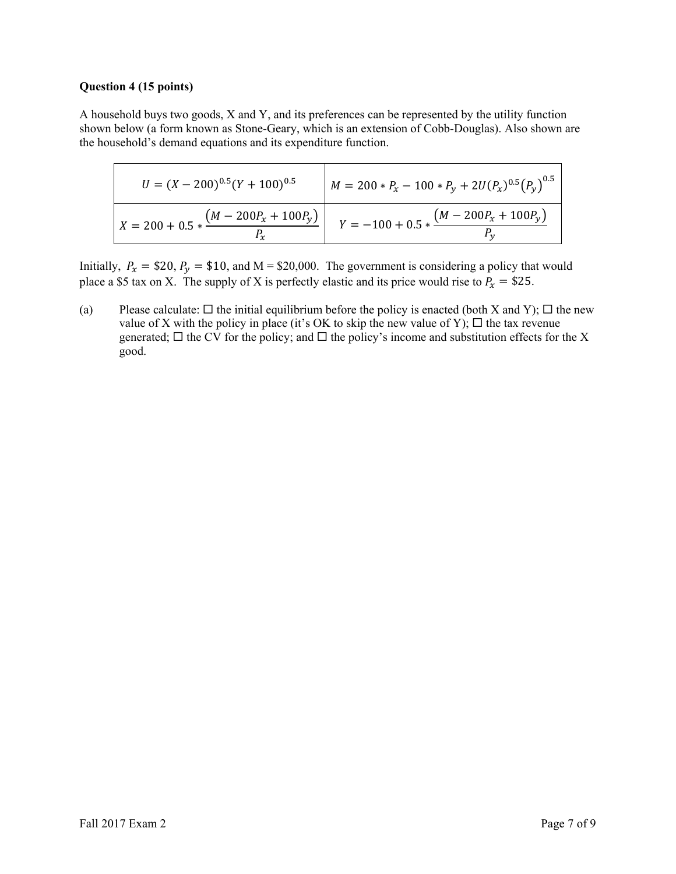### **Question 4 (15 points)**

A household buys two goods, X and Y, and its preferences can be represented by the utility function shown below (a form known as Stone-Geary, which is an extension of Cobb-Douglas). Also shown are the household's demand equations and its expenditure function.

| $U = (X - 200)^{0.5} (Y + 100)^{0.5}$                   | $M = 200 * P_x - 100 * P_y + 2U(P_x)^{0.5}(P_v)^{0.5}$ |
|---------------------------------------------------------|--------------------------------------------------------|
| $X = 200 + 0.5 * \frac{(M - 200P_x + 100P_y)}{T}$<br>r~ | $Y = -100 + 0.5 * \frac{(M - 200P_x + 100P_y)}{D}$     |

Initially,  $P_x = $20$ ,  $P_y = $10$ , and M = \$20,000. The government is considering a policy that would place a \$5 tax on X. The supply of X is perfectly elastic and its price would rise to  $P_x = $25$ .

(a) Please calculate:  $\Box$  the initial equilibrium before the policy is enacted (both X and Y);  $\Box$  the new value of X with the policy in place (it's OK to skip the new value of Y);  $\Box$  the tax revenue generated;  $\Box$  the CV for the policy; and  $\Box$  the policy's income and substitution effects for the X good.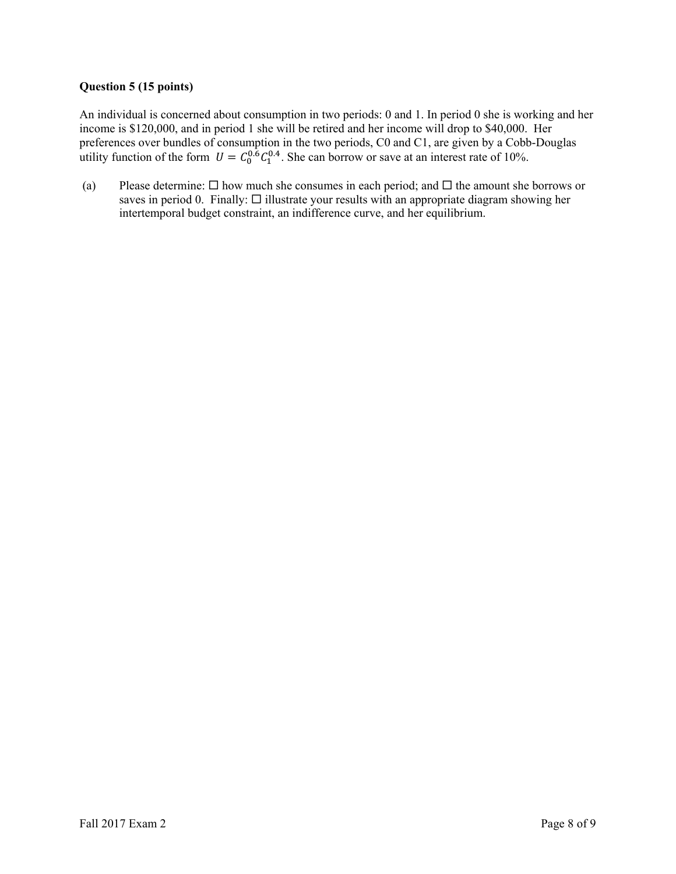## **Question 5 (15 points)**

An individual is concerned about consumption in two periods: 0 and 1. In period 0 she is working and her income is \$120,000, and in period 1 she will be retired and her income will drop to \$40,000. Her preferences over bundles of consumption in the two periods, C0 and C1, are given by a Cobb-Douglas utility function of the form  $U = C_0^{0.6} C_1^{0.4}$ . She can borrow or save at an interest rate of 10%.

(a) Please determine:  $\Box$  how much she consumes in each period; and  $\Box$  the amount she borrows or saves in period 0. Finally:  $\Box$  illustrate your results with an appropriate diagram showing her intertemporal budget constraint, an indifference curve, and her equilibrium.